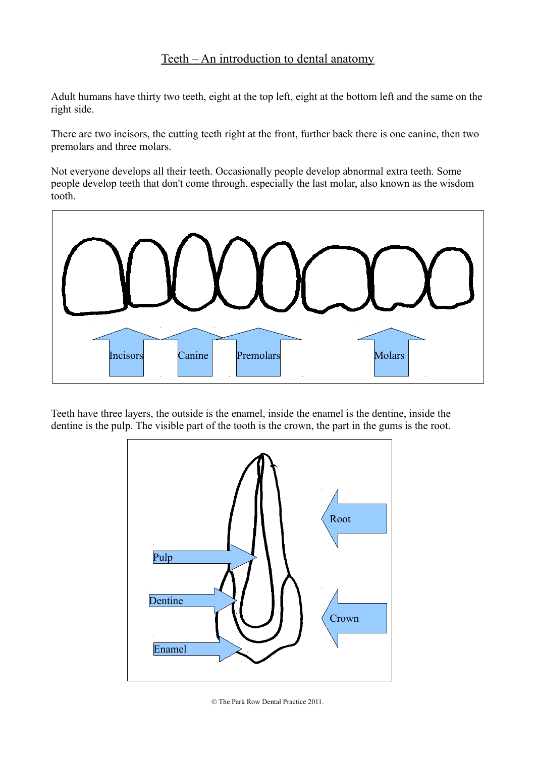## Teeth – An introduction to dental anatomy

Adult humans have thirty two teeth, eight at the top left, eight at the bottom left and the same on the right side.

There are two incisors, the cutting teeth right at the front, further back there is one canine, then two premolars and three molars.

Not everyone develops all their teeth. Occasionally people develop abnormal extra teeth. Some people develop teeth that don't come through, especially the last molar, also known as the wisdom tooth.



Teeth have three layers, the outside is the enamel, inside the enamel is the dentine, inside the dentine is the pulp. The visible part of the tooth is the crown, the part in the gums is the root.



© The Park Row Dental Practice 2011.